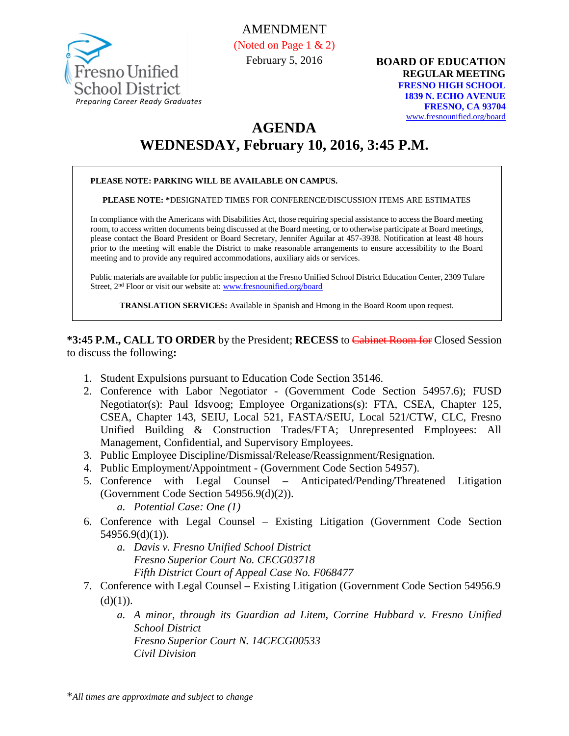

AMENDMENT (Noted on Page 1 & 2) February 5, 2016

**BOARD OF EDUCATION REGULAR MEETING FRESNO HIGH SCHOOL 1839 N. ECHO AVENUE FRESNO, CA 93704** [www.fresnounified.org/board](http://www.fresnounified.org/board)

## **AGENDA**

# **WEDNESDAY, February 10, 2016, 3:45 P.M.**

#### **PLEASE NOTE: PARKING WILL BE AVAILABLE ON CAMPUS.**

**PLEASE NOTE: \***DESIGNATED TIMES FOR CONFERENCE/DISCUSSION ITEMS ARE ESTIMATES

In compliance with the Americans with Disabilities Act, those requiring special assistance to access the Board meeting room, to access written documents being discussed at the Board meeting, or to otherwise participate at Board meetings, please contact the Board President or Board Secretary, Jennifer Aguilar at 457-3938. Notification at least 48 hours prior to the meeting will enable the District to make reasonable arrangements to ensure accessibility to the Board meeting and to provide any required accommodations, auxiliary aids or services.

Public materials are available for public inspection at the Fresno Unified School District Education Center, 2309 Tulare Street, 2<sup>nd</sup> Floor or visit our website at: [www.fresnounified.org/board](http://www.fresnounified.org/board)

**TRANSLATION SERVICES:** Available in Spanish and Hmong in the Board Room upon request.

**\*3:45 P.M., CALL TO ORDER** by the President; **RECESS** to Cabinet Room for Closed Session to discuss the following**:**

- 1. Student Expulsions pursuant to Education Code Section 35146.
- 2. Conference with Labor Negotiator (Government Code Section 54957.6); FUSD Negotiator(s): Paul Idsvoog; Employee Organizations(s): FTA, CSEA, Chapter 125, CSEA, Chapter 143, SEIU, Local 521, FASTA/SEIU, Local 521/CTW, CLC, Fresno Unified Building & Construction Trades/FTA; Unrepresented Employees: All Management, Confidential, and Supervisory Employees.
- 3. Public Employee Discipline/Dismissal/Release/Reassignment/Resignation.
- 4. Public Employment/Appointment (Government Code Section 54957).
- 5. Conference with Legal Counsel **–** Anticipated/Pending/Threatened Litigation (Government Code Section 54956.9(d)(2)).
	- *a. Potential Case: One (1)*
- 6. Conference with Legal Counsel Existing Litigation (Government Code Section 54956.9(d)(1)).
	- *a. Davis v. Fresno Unified School District Fresno Superior Court No. CECG03718 Fifth District Court of Appeal Case No. F068477*
- 7. Conference with Legal Counsel **–** Existing Litigation (Government Code Section 54956.9  $(d)(1)).$ 
	- *a. A minor, through its Guardian ad Litem, Corrine Hubbard v. Fresno Unified School District Fresno Superior Court N. 14CECG00533 Civil Division*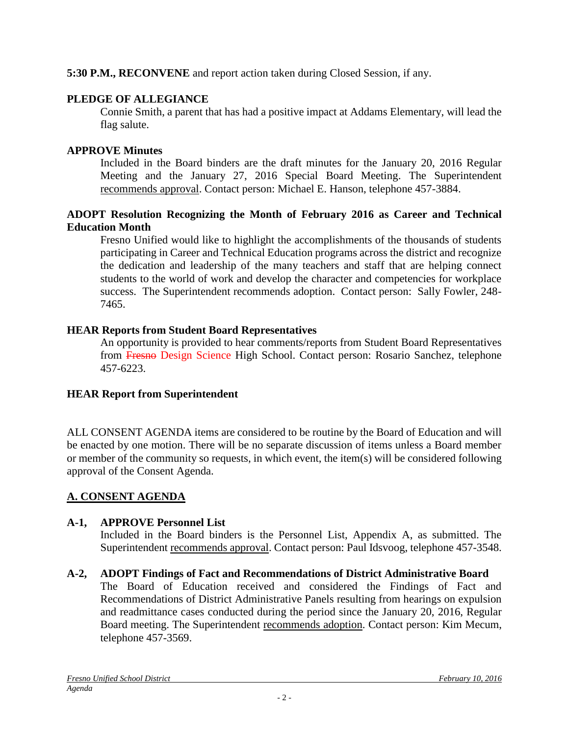**5:30 P.M., RECONVENE** and report action taken during Closed Session, if any.

## **PLEDGE OF ALLEGIANCE**

Connie Smith, a parent that has had a positive impact at Addams Elementary, will lead the flag salute.

## **APPROVE Minutes**

Included in the Board binders are the draft minutes for the January 20, 2016 Regular Meeting and the January 27, 2016 Special Board Meeting. The Superintendent recommends approval. Contact person: Michael E. Hanson, telephone 457-3884.

### **ADOPT Resolution Recognizing the Month of February 2016 as Career and Technical Education Month**

Fresno Unified would like to highlight the accomplishments of the thousands of students participating in Career and Technical Education programs across the district and recognize the dedication and leadership of the many teachers and staff that are helping connect students to the world of work and develop the character and competencies for workplace success. The Superintendent recommends adoption. Contact person: Sally Fowler, 248- 7465.

## **HEAR Reports from Student Board Representatives**

An opportunity is provided to hear comments/reports from Student Board Representatives from Fresno Design Science High School. Contact person: Rosario Sanchez, telephone 457-6223.

## **HEAR Report from Superintendent**

ALL CONSENT AGENDA items are considered to be routine by the Board of Education and will be enacted by one motion. There will be no separate discussion of items unless a Board member or member of the community so requests, in which event, the item(s) will be considered following approval of the Consent Agenda.

## **A. CONSENT AGENDA**

## **A-1, APPROVE Personnel List**

Included in the Board binders is the Personnel List, Appendix A, as submitted. The Superintendent recommends approval. Contact person: Paul Idsvoog, telephone 457-3548.

**A-2, ADOPT Findings of Fact and Recommendations of District Administrative Board** The Board of Education received and considered the Findings of Fact and Recommendations of District Administrative Panels resulting from hearings on expulsion and readmittance cases conducted during the period since the January 20, 2016, Regular Board meeting. The Superintendent recommends adoption. Contact person: Kim Mecum, telephone 457-3569.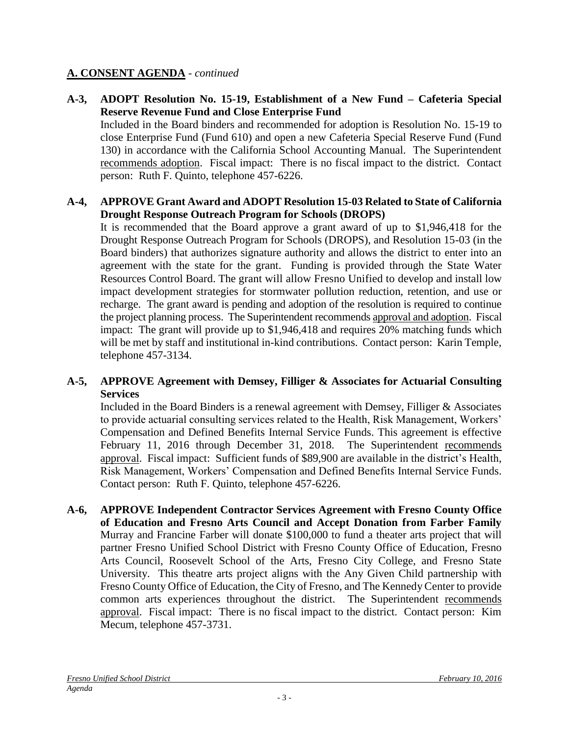#### **A. CONSENT AGENDA** - *continued*

**A-3, ADOPT Resolution No. 15-19, Establishment of a New Fund – Cafeteria Special Reserve Revenue Fund and Close Enterprise Fund** Included in the Board binders and recommended for adoption is Resolution No. 15-19 to close Enterprise Fund (Fund 610) and open a new Cafeteria Special Reserve Fund (Fund 130) in accordance with the California School Accounting Manual. The Superintendent recommends adoption. Fiscal impact: There is no fiscal impact to the district. Contact person: Ruth F. Quinto, telephone 457-6226.

#### **A-4, APPROVE Grant Award and ADOPT Resolution 15-03 Related to State of California Drought Response Outreach Program for Schools (DROPS)**

It is recommended that the Board approve a grant award of up to \$1,946,418 for the Drought Response Outreach Program for Schools (DROPS), and Resolution 15-03 (in the Board binders) that authorizes signature authority and allows the district to enter into an agreement with the state for the grant. Funding is provided through the State Water Resources Control Board. The grant will allow Fresno Unified to develop and install low impact development strategies for stormwater pollution reduction, retention, and use or recharge. The grant award is pending and adoption of the resolution is required to continue the project planning process. The Superintendent recommends approval and adoption. Fiscal impact: The grant will provide up to \$1,946,418 and requires 20% matching funds which will be met by staff and institutional in-kind contributions. Contact person: Karin Temple, telephone 457-3134.

#### **A-5, APPROVE Agreement with Demsey, Filliger & Associates for Actuarial Consulting Services**

Included in the Board Binders is a renewal agreement with Demsey, Filliger & Associates to provide actuarial consulting services related to the Health, Risk Management, Workers' Compensation and Defined Benefits Internal Service Funds. This agreement is effective February 11, 2016 through December 31, 2018. The Superintendent recommends approval. Fiscal impact: Sufficient funds of \$89,900 are available in the district's Health, Risk Management, Workers' Compensation and Defined Benefits Internal Service Funds. Contact person: Ruth F. Quinto, telephone 457-6226.

**A-6, APPROVE Independent Contractor Services Agreement with Fresno County Office of Education and Fresno Arts Council and Accept Donation from Farber Family**  Murray and Francine Farber will donate \$100,000 to fund a theater arts project that will partner Fresno Unified School District with Fresno County Office of Education, Fresno Arts Council, Roosevelt School of the Arts, Fresno City College, and Fresno State University. This theatre arts project aligns with the Any Given Child partnership with Fresno County Office of Education, the City of Fresno, and The Kennedy Center to provide common arts experiences throughout the district. The Superintendent recommends approval. Fiscal impact: There is no fiscal impact to the district. Contact person: Kim Mecum, telephone 457-3731.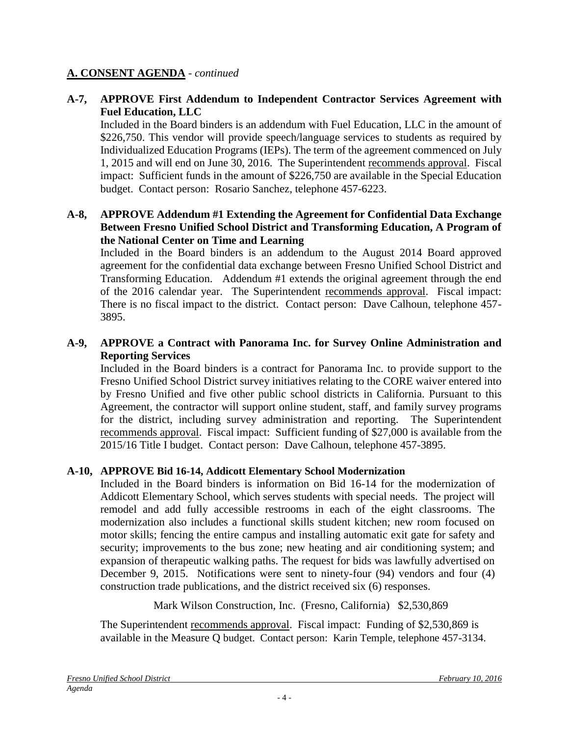#### **A. CONSENT AGENDA** - *continued*

#### **A-7, APPROVE First Addendum to Independent Contractor Services Agreement with Fuel Education, LLC**

Included in the Board binders is an addendum with Fuel Education, LLC in the amount of \$226,750. This vendor will provide speech/language services to students as required by Individualized Education Programs (IEPs). The term of the agreement commenced on July 1, 2015 and will end on June 30, 2016. The Superintendent recommends approval. Fiscal impact: Sufficient funds in the amount of \$226,750 are available in the Special Education budget. Contact person: Rosario Sanchez, telephone 457-6223.

#### **A-8, APPROVE Addendum #1 Extending the Agreement for Confidential Data Exchange Between Fresno Unified School District and Transforming Education, A Program of the National Center on Time and Learning**

Included in the Board binders is an addendum to the August 2014 Board approved agreement for the confidential data exchange between Fresno Unified School District and Transforming Education. Addendum #1 extends the original agreement through the end of the 2016 calendar year. The Superintendent recommends approval. Fiscal impact: There is no fiscal impact to the district. Contact person: Dave Calhoun, telephone 457- 3895.

#### **A-9, APPROVE a Contract with Panorama Inc. for Survey Online Administration and Reporting Services**

Included in the Board binders is a contract for Panorama Inc. to provide support to the Fresno Unified School District survey initiatives relating to the CORE waiver entered into by Fresno Unified and five other public school districts in California. Pursuant to this Agreement, the contractor will support online student, staff, and family survey programs for the district, including survey administration and reporting. The Superintendent recommends approval. Fiscal impact: Sufficient funding of \$27,000 is available from the 2015/16 Title I budget. Contact person: Dave Calhoun, telephone 457-3895.

#### **A-10, APPROVE Bid 16-14, Addicott Elementary School Modernization**

Included in the Board binders is information on Bid 16-14 for the modernization of Addicott Elementary School, which serves students with special needs. The project will remodel and add fully accessible restrooms in each of the eight classrooms. The modernization also includes a functional skills student kitchen; new room focused on motor skills; fencing the entire campus and installing automatic exit gate for safety and security; improvements to the bus zone; new heating and air conditioning system; and expansion of therapeutic walking paths. The request for bids was lawfully advertised on December 9, 2015. Notifications were sent to ninety-four (94) vendors and four (4) construction trade publications, and the district received six (6) responses.

Mark Wilson Construction, Inc. (Fresno, California) \$2,530,869

The Superintendent recommends approval. Fiscal impact: Funding of \$2,530,869 is available in the Measure Q budget. Contact person: Karin Temple, telephone 457-3134.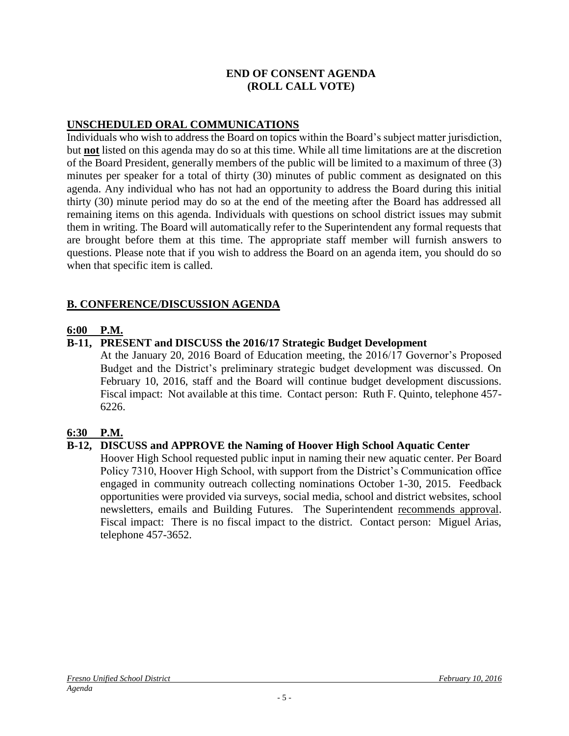#### **END OF CONSENT AGENDA (ROLL CALL VOTE)**

#### **UNSCHEDULED ORAL COMMUNICATIONS**

Individuals who wish to address the Board on topics within the Board's subject matter jurisdiction, but **not** listed on this agenda may do so at this time. While all time limitations are at the discretion of the Board President, generally members of the public will be limited to a maximum of three (3) minutes per speaker for a total of thirty (30) minutes of public comment as designated on this agenda. Any individual who has not had an opportunity to address the Board during this initial thirty (30) minute period may do so at the end of the meeting after the Board has addressed all remaining items on this agenda. Individuals with questions on school district issues may submit them in writing. The Board will automatically refer to the Superintendent any formal requests that are brought before them at this time. The appropriate staff member will furnish answers to questions. Please note that if you wish to address the Board on an agenda item, you should do so when that specific item is called.

#### **B. CONFERENCE/DISCUSSION AGENDA**

#### **6:00 P.M.**

#### **B-11, PRESENT and DISCUSS the 2016/17 Strategic Budget Development**

At the January 20, 2016 Board of Education meeting, the 2016/17 Governor's Proposed Budget and the District's preliminary strategic budget development was discussed. On February 10, 2016, staff and the Board will continue budget development discussions. Fiscal impact: Not available at this time. Contact person: Ruth F. Quinto, telephone 457- 6226.

#### **6:30 P.M.**

#### **B-12, DISCUSS and APPROVE the Naming of Hoover High School Aquatic Center**

Hoover High School requested public input in naming their new aquatic center. Per Board Policy 7310, Hoover High School, with support from the District's Communication office engaged in community outreach collecting nominations October 1-30, 2015. Feedback opportunities were provided via surveys, social media, school and district websites, school newsletters, emails and Building Futures. The Superintendent recommends approval. Fiscal impact: There is no fiscal impact to the district. Contact person: Miguel Arias, telephone 457-3652.